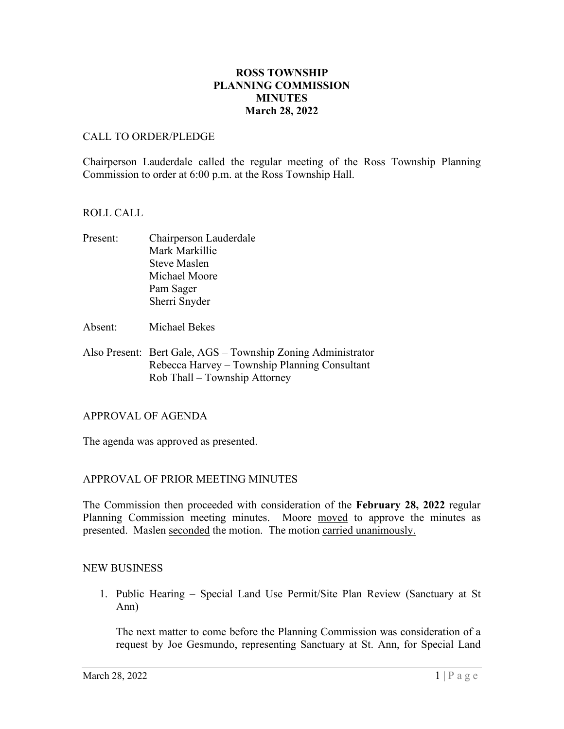# **ROSS TOWNSHIP PLANNING COMMISSION MINUTES March 28, 2022**

### CALL TO ORDER/PLEDGE

Chairperson Lauderdale called the regular meeting of the Ross Township Planning Commission to order at 6:00 p.m. at the Ross Township Hall.

### ROLL CALL

- Present: Chairperson Lauderdale Mark Markillie Steve Maslen Michael Moore Pam Sager Sherri Snyder
- Absent: Michael Bekes
- Also Present: Bert Gale, AGS Township Zoning Administrator Rebecca Harvey – Township Planning Consultant Rob Thall – Township Attorney

### APPROVAL OF AGENDA

The agenda was approved as presented.

# APPROVAL OF PRIOR MEETING MINUTES

The Commission then proceeded with consideration of the **February 28, 2022** regular Planning Commission meeting minutes. Moore moved to approve the minutes as presented. Maslen seconded the motion. The motion carried unanimously.

### NEW BUSINESS

1. Public Hearing – Special Land Use Permit/Site Plan Review (Sanctuary at St Ann)

The next matter to come before the Planning Commission was consideration of a request by Joe Gesmundo, representing Sanctuary at St. Ann, for Special Land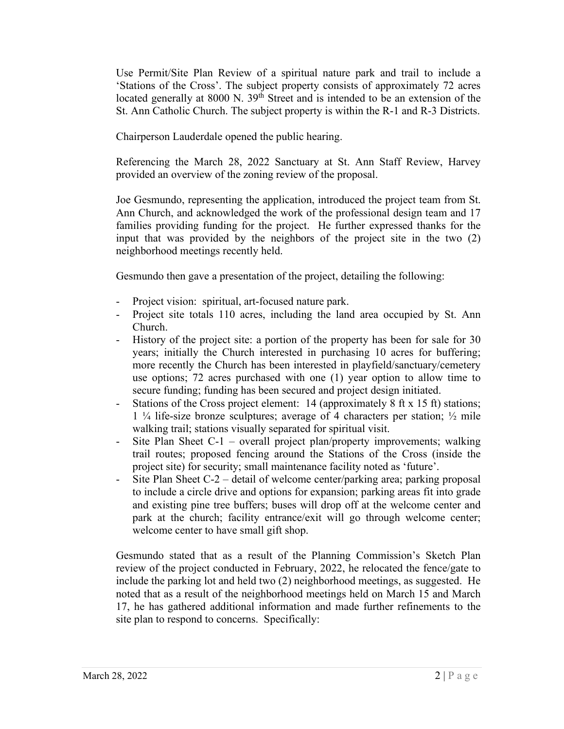Use Permit/Site Plan Review of a spiritual nature park and trail to include a 'Stations of the Cross'. The subject property consists of approximately 72 acres located generally at 8000 N. 39<sup>th</sup> Street and is intended to be an extension of the St. Ann Catholic Church. The subject property is within the R-1 and R-3 Districts.

Chairperson Lauderdale opened the public hearing.

Referencing the March 28, 2022 Sanctuary at St. Ann Staff Review, Harvey provided an overview of the zoning review of the proposal.

Joe Gesmundo, representing the application, introduced the project team from St. Ann Church, and acknowledged the work of the professional design team and 17 families providing funding for the project. He further expressed thanks for the input that was provided by the neighbors of the project site in the two (2) neighborhood meetings recently held.

Gesmundo then gave a presentation of the project, detailing the following:

- Project vision: spiritual, art-focused nature park.
- Project site totals 110 acres, including the land area occupied by St. Ann Church.
- History of the project site: a portion of the property has been for sale for 30 years; initially the Church interested in purchasing 10 acres for buffering; more recently the Church has been interested in playfield/sanctuary/cemetery use options; 72 acres purchased with one (1) year option to allow time to secure funding; funding has been secured and project design initiated.
- Stations of the Cross project element: 14 (approximately 8 ft x 15 ft) stations; 1 ¼ life-size bronze sculptures; average of 4 characters per station; ½ mile walking trail; stations visually separated for spiritual visit.
- Site Plan Sheet C-1 overall project plan/property improvements; walking trail routes; proposed fencing around the Stations of the Cross (inside the project site) for security; small maintenance facility noted as 'future'.
- Site Plan Sheet C-2 detail of welcome center/parking area; parking proposal to include a circle drive and options for expansion; parking areas fit into grade and existing pine tree buffers; buses will drop off at the welcome center and park at the church; facility entrance/exit will go through welcome center; welcome center to have small gift shop.

Gesmundo stated that as a result of the Planning Commission's Sketch Plan review of the project conducted in February, 2022, he relocated the fence/gate to include the parking lot and held two (2) neighborhood meetings, as suggested. He noted that as a result of the neighborhood meetings held on March 15 and March 17, he has gathered additional information and made further refinements to the site plan to respond to concerns. Specifically: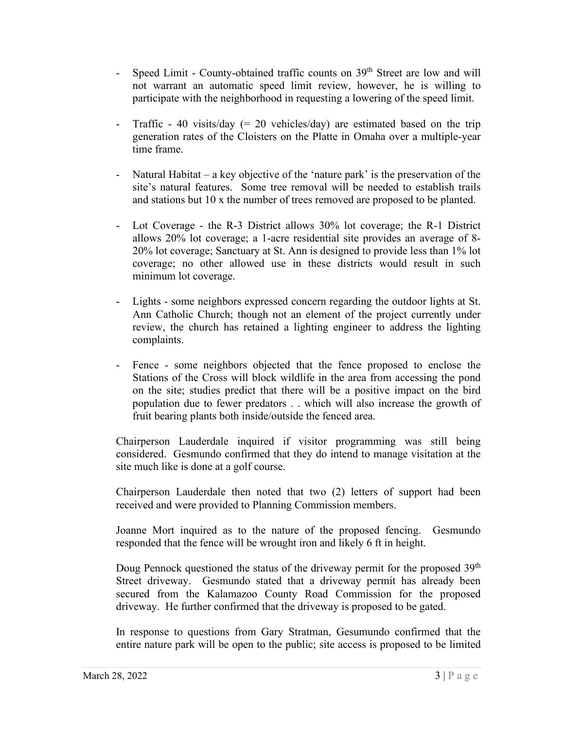- Speed Limit County-obtained traffic counts on 39<sup>th</sup> Street are low and will not warrant an automatic speed limit review, however, he is willing to participate with the neighborhood in requesting a lowering of the speed limit.
- Traffic 40 visits/day  $(= 20 \text{ vehicles/day})$  are estimated based on the trip generation rates of the Cloisters on the Platte in Omaha over a multiple-year time frame.
- Natural Habitat a key objective of the 'nature park' is the preservation of the site's natural features. Some tree removal will be needed to establish trails and stations but 10 x the number of trees removed are proposed to be planted.
- Lot Coverage the R-3 District allows 30% lot coverage; the R-1 District allows 20% lot coverage; a 1-acre residential site provides an average of 8- 20% lot coverage; Sanctuary at St. Ann is designed to provide less than 1% lot coverage; no other allowed use in these districts would result in such minimum lot coverage.
- Lights some neighbors expressed concern regarding the outdoor lights at St. Ann Catholic Church; though not an element of the project currently under review, the church has retained a lighting engineer to address the lighting complaints.
- Fence some neighbors objected that the fence proposed to enclose the Stations of the Cross will block wildlife in the area from accessing the pond on the site; studies predict that there will be a positive impact on the bird population due to fewer predators . . which will also increase the growth of fruit bearing plants both inside/outside the fenced area.

Chairperson Lauderdale inquired if visitor programming was still being considered. Gesmundo confirmed that they do intend to manage visitation at the site much like is done at a golf course.

Chairperson Lauderdale then noted that two (2) letters of support had been received and were provided to Planning Commission members.

Joanne Mort inquired as to the nature of the proposed fencing. Gesmundo responded that the fence will be wrought iron and likely 6 ft in height.

Doug Pennock questioned the status of the driveway permit for the proposed  $39<sup>th</sup>$ Street driveway. Gesmundo stated that a driveway permit has already been secured from the Kalamazoo County Road Commission for the proposed driveway. He further confirmed that the driveway is proposed to be gated.

In response to questions from Gary Stratman, Gesumundo confirmed that the entire nature park will be open to the public; site access is proposed to be limited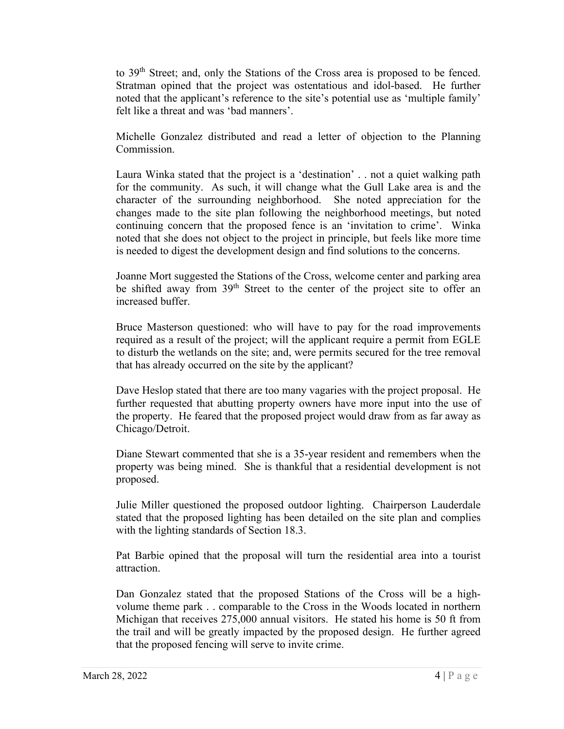to 39th Street; and, only the Stations of the Cross area is proposed to be fenced. Stratman opined that the project was ostentatious and idol-based. He further noted that the applicant's reference to the site's potential use as 'multiple family' felt like a threat and was 'bad manners'.

Michelle Gonzalez distributed and read a letter of objection to the Planning Commission.

Laura Winka stated that the project is a 'destination' . . not a quiet walking path for the community. As such, it will change what the Gull Lake area is and the character of the surrounding neighborhood. She noted appreciation for the changes made to the site plan following the neighborhood meetings, but noted continuing concern that the proposed fence is an 'invitation to crime'. Winka noted that she does not object to the project in principle, but feels like more time is needed to digest the development design and find solutions to the concerns.

Joanne Mort suggested the Stations of the Cross, welcome center and parking area be shifted away from 39<sup>th</sup> Street to the center of the project site to offer an increased buffer.

Bruce Masterson questioned: who will have to pay for the road improvements required as a result of the project; will the applicant require a permit from EGLE to disturb the wetlands on the site; and, were permits secured for the tree removal that has already occurred on the site by the applicant?

Dave Heslop stated that there are too many vagaries with the project proposal. He further requested that abutting property owners have more input into the use of the property. He feared that the proposed project would draw from as far away as Chicago/Detroit.

Diane Stewart commented that she is a 35-year resident and remembers when the property was being mined. She is thankful that a residential development is not proposed.

Julie Miller questioned the proposed outdoor lighting. Chairperson Lauderdale stated that the proposed lighting has been detailed on the site plan and complies with the lighting standards of Section 18.3.

Pat Barbie opined that the proposal will turn the residential area into a tourist attraction.

Dan Gonzalez stated that the proposed Stations of the Cross will be a highvolume theme park . . comparable to the Cross in the Woods located in northern Michigan that receives 275,000 annual visitors. He stated his home is 50 ft from the trail and will be greatly impacted by the proposed design. He further agreed that the proposed fencing will serve to invite crime.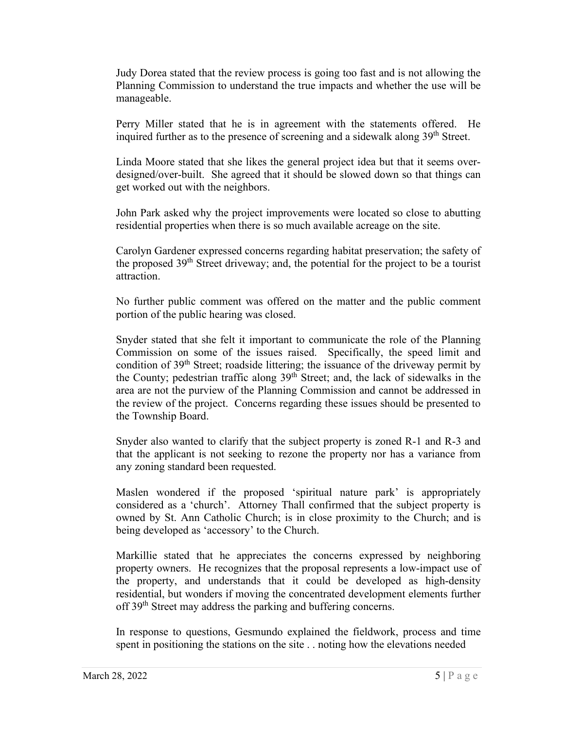Judy Dorea stated that the review process is going too fast and is not allowing the Planning Commission to understand the true impacts and whether the use will be manageable.

Perry Miller stated that he is in agreement with the statements offered. He inquired further as to the presence of screening and a sidewalk along 39<sup>th</sup> Street.

Linda Moore stated that she likes the general project idea but that it seems overdesigned/over-built. She agreed that it should be slowed down so that things can get worked out with the neighbors.

John Park asked why the project improvements were located so close to abutting residential properties when there is so much available acreage on the site.

Carolyn Gardener expressed concerns regarding habitat preservation; the safety of the proposed  $39<sup>th</sup>$  Street driveway; and, the potential for the project to be a tourist attraction.

No further public comment was offered on the matter and the public comment portion of the public hearing was closed.

Snyder stated that she felt it important to communicate the role of the Planning Commission on some of the issues raised. Specifically, the speed limit and condition of  $39<sup>th</sup>$  Street; roadside littering; the issuance of the driveway permit by the County; pedestrian traffic along  $39<sup>th</sup>$  Street; and, the lack of sidewalks in the area are not the purview of the Planning Commission and cannot be addressed in the review of the project. Concerns regarding these issues should be presented to the Township Board.

Snyder also wanted to clarify that the subject property is zoned R-1 and R-3 and that the applicant is not seeking to rezone the property nor has a variance from any zoning standard been requested.

Maslen wondered if the proposed 'spiritual nature park' is appropriately considered as a 'church'. Attorney Thall confirmed that the subject property is owned by St. Ann Catholic Church; is in close proximity to the Church; and is being developed as 'accessory' to the Church.

Markillie stated that he appreciates the concerns expressed by neighboring property owners. He recognizes that the proposal represents a low-impact use of the property, and understands that it could be developed as high-density residential, but wonders if moving the concentrated development elements further off 39<sup>th</sup> Street may address the parking and buffering concerns.

In response to questions, Gesmundo explained the fieldwork, process and time spent in positioning the stations on the site . . noting how the elevations needed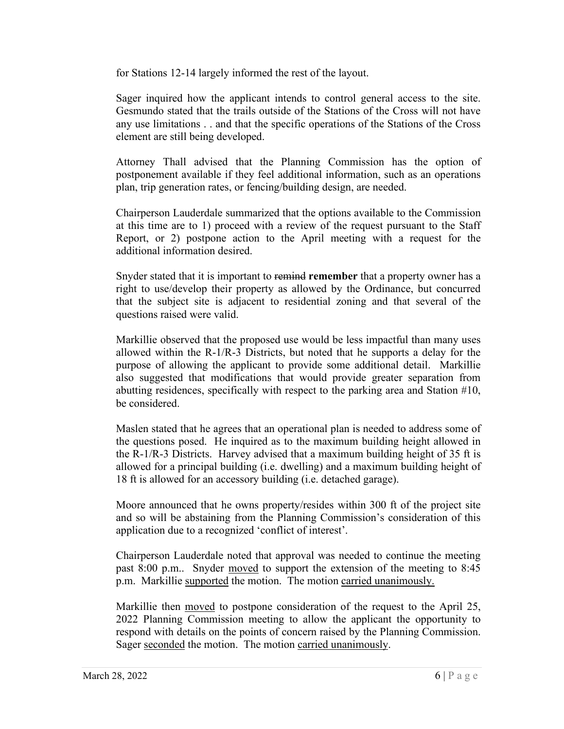for Stations 12-14 largely informed the rest of the layout.

Sager inquired how the applicant intends to control general access to the site. Gesmundo stated that the trails outside of the Stations of the Cross will not have any use limitations . . and that the specific operations of the Stations of the Cross element are still being developed.

Attorney Thall advised that the Planning Commission has the option of postponement available if they feel additional information, such as an operations plan, trip generation rates, or fencing/building design, are needed.

Chairperson Lauderdale summarized that the options available to the Commission at this time are to 1) proceed with a review of the request pursuant to the Staff Report, or 2) postpone action to the April meeting with a request for the additional information desired.

Snyder stated that it is important to remind **remember** that a property owner has a right to use/develop their property as allowed by the Ordinance, but concurred that the subject site is adjacent to residential zoning and that several of the questions raised were valid.

Markillie observed that the proposed use would be less impactful than many uses allowed within the R-1/R-3 Districts, but noted that he supports a delay for the purpose of allowing the applicant to provide some additional detail. Markillie also suggested that modifications that would provide greater separation from abutting residences, specifically with respect to the parking area and Station #10, be considered.

Maslen stated that he agrees that an operational plan is needed to address some of the questions posed. He inquired as to the maximum building height allowed in the R-1/R-3 Districts. Harvey advised that a maximum building height of 35 ft is allowed for a principal building (i.e. dwelling) and a maximum building height of 18 ft is allowed for an accessory building (i.e. detached garage).

Moore announced that he owns property/resides within 300 ft of the project site and so will be abstaining from the Planning Commission's consideration of this application due to a recognized 'conflict of interest'.

Chairperson Lauderdale noted that approval was needed to continue the meeting past 8:00 p.m.. Snyder moved to support the extension of the meeting to 8:45 p.m. Markillie supported the motion. The motion carried unanimously.

Markillie then moved to postpone consideration of the request to the April 25, 2022 Planning Commission meeting to allow the applicant the opportunity to respond with details on the points of concern raised by the Planning Commission. Sager seconded the motion. The motion carried unanimously.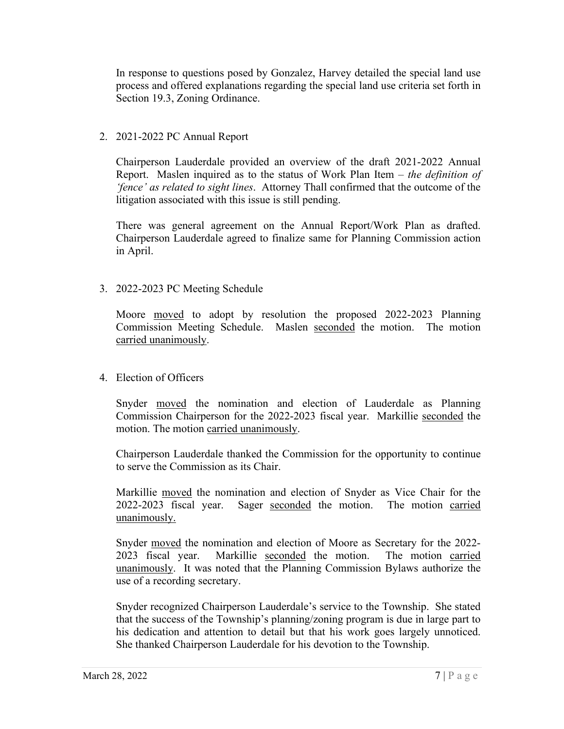In response to questions posed by Gonzalez, Harvey detailed the special land use process and offered explanations regarding the special land use criteria set forth in Section 19.3, Zoning Ordinance.

# 2. 2021-2022 PC Annual Report

Chairperson Lauderdale provided an overview of the draft 2021-2022 Annual Report. Maslen inquired as to the status of Work Plan Item – *the definition of 'fence' as related to sight lines*. Attorney Thall confirmed that the outcome of the litigation associated with this issue is still pending.

There was general agreement on the Annual Report/Work Plan as drafted. Chairperson Lauderdale agreed to finalize same for Planning Commission action in April.

# 3. 2022-2023 PC Meeting Schedule

Moore moved to adopt by resolution the proposed 2022-2023 Planning Commission Meeting Schedule. Maslen seconded the motion. The motion carried unanimously.

# 4. Election of Officers

Snyder moved the nomination and election of Lauderdale as Planning Commission Chairperson for the 2022-2023 fiscal year. Markillie seconded the motion. The motion carried unanimously.

Chairperson Lauderdale thanked the Commission for the opportunity to continue to serve the Commission as its Chair.

Markillie moved the nomination and election of Snyder as Vice Chair for the 2022-2023 fiscal year. Sager seconded the motion. The motion carried unanimously.

Snyder moved the nomination and election of Moore as Secretary for the 2022- 2023 fiscal year. Markillie seconded the motion. The motion carried unanimously. It was noted that the Planning Commission Bylaws authorize the use of a recording secretary.

Snyder recognized Chairperson Lauderdale's service to the Township. She stated that the success of the Township's planning/zoning program is due in large part to his dedication and attention to detail but that his work goes largely unnoticed. She thanked Chairperson Lauderdale for his devotion to the Township.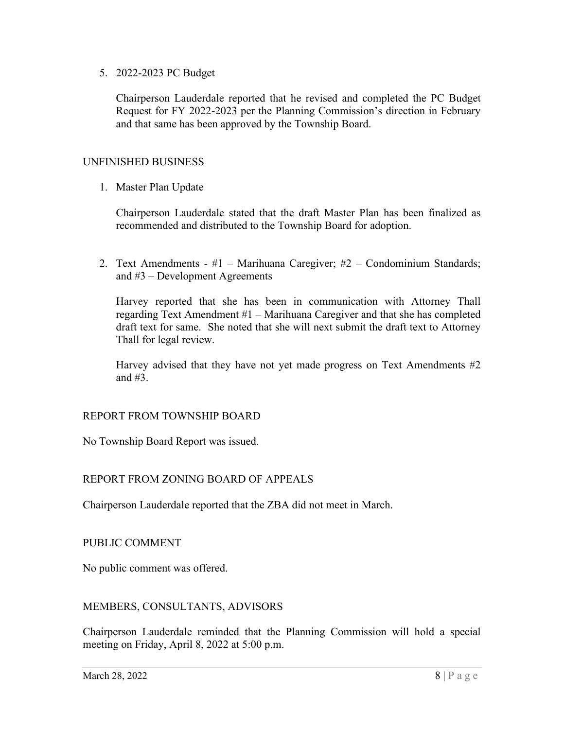5. 2022-2023 PC Budget

Chairperson Lauderdale reported that he revised and completed the PC Budget Request for FY 2022-2023 per the Planning Commission's direction in February and that same has been approved by the Township Board.

### UNFINISHED BUSINESS

1. Master Plan Update

Chairperson Lauderdale stated that the draft Master Plan has been finalized as recommended and distributed to the Township Board for adoption.

2. Text Amendments - #1 – Marihuana Caregiver; #2 – Condominium Standards; and #3 – Development Agreements

Harvey reported that she has been in communication with Attorney Thall regarding Text Amendment #1 – Marihuana Caregiver and that she has completed draft text for same. She noted that she will next submit the draft text to Attorney Thall for legal review.

Harvey advised that they have not yet made progress on Text Amendments #2 and #3.

### REPORT FROM TOWNSHIP BOARD

No Township Board Report was issued.

### REPORT FROM ZONING BOARD OF APPEALS

Chairperson Lauderdale reported that the ZBA did not meet in March.

### PUBLIC COMMENT

No public comment was offered.

### MEMBERS, CONSULTANTS, ADVISORS

Chairperson Lauderdale reminded that the Planning Commission will hold a special meeting on Friday, April 8, 2022 at 5:00 p.m.